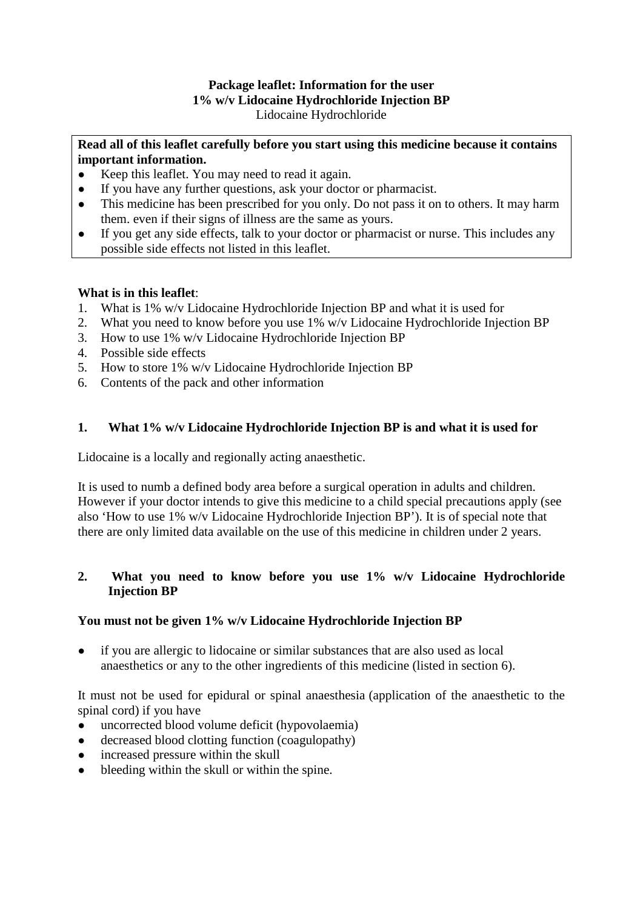## **Package leaflet: Information for the user 1% w/v Lidocaine Hydrochloride Injection BP** Lidocaine Hydrochloride

## **Read all of this leaflet carefully before you start using this medicine because it contains important information.**

- Keep this leaflet. You may need to read it again.
- If you have any further questions, ask your doctor or pharmacist.
- This medicine has been prescribed for you only. Do not pass it on to others. It may harm them. even if their signs of illness are the same as yours.
- If you get any side effects, talk to your doctor or pharmacist or nurse. This includes any possible side effects not listed in this leaflet.

# **What is in this leaflet**:

- 1. What is 1% w/v Lidocaine Hydrochloride Injection BP and what it is used for
- 2. What you need to know before you use 1% w/v Lidocaine Hydrochloride Injection BP
- 3. How to use 1% w/v Lidocaine Hydrochloride Injection BP
- 4. Possible side effects
- 5. How to store 1% w/v Lidocaine Hydrochloride Injection BP
- 6. Contents of the pack and other information

# **1. What 1% w/v Lidocaine Hydrochloride Injection BP is and what it is used for**

Lidocaine is a locally and regionally acting anaesthetic.

It is used to numb a defined body area before a surgical operation in adults and children. However if your doctor intends to give this medicine to a child special precautions apply (see also 'How to use 1% w/v Lidocaine Hydrochloride Injection BP'). It is of special note that there are only limited data available on the use of this medicine in children under 2 years.

# **2. What you need to know before you use 1% w/v Lidocaine Hydrochloride Injection BP**

# **You must not be given 1% w/v Lidocaine Hydrochloride Injection BP**

if you are allergic to lidocaine or similar substances that are also used as local anaesthetics or any to the other ingredients of this medicine (listed in section 6).

It must not be used for epidural or spinal anaesthesia (application of the anaesthetic to the spinal cord) if you have

- 
- uncorrected blood volume deficit (hypovolaemia)<br>• decreased blood clotting function (coagulonathy) decreased blood clotting function (coagulopathy)
- increased pressure within the skull
- bleeding within the skull or within the spine.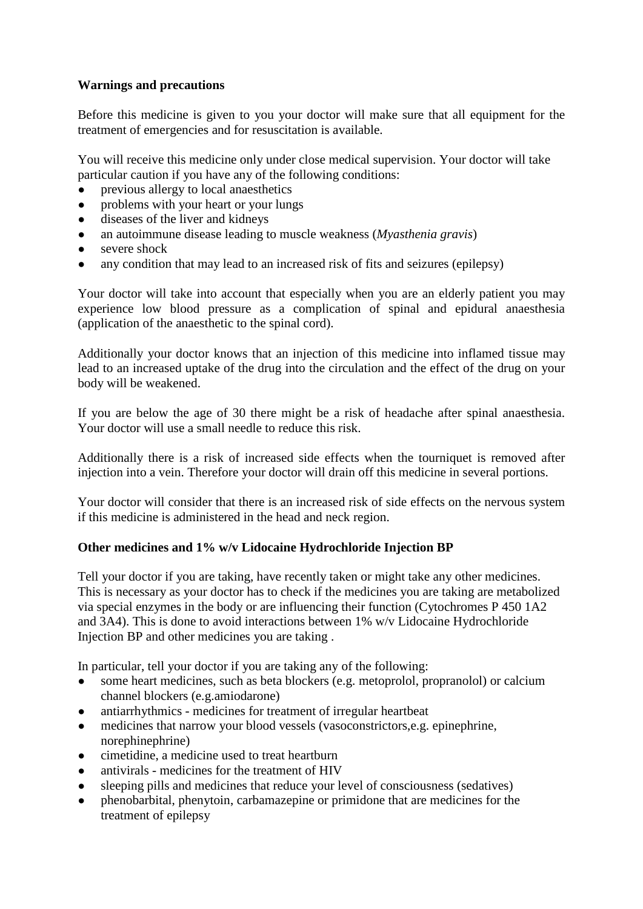# **Warnings and precautions**

Before this medicine is given to you your doctor will make sure that all equipment for the treatment of emergencies and for resuscitation is available.

You will receive this medicine only under close medical supervision. Your doctor will take particular caution if you have any of the following conditions:

- previous allergy to local anaesthetics
- problems with your heart or your lungs
- diseases of the liver and kidneys
- an autoimmune disease leading to muscle weakness (*Myasthenia gravis*)
- severe shock
- any condition that may lead to an increased risk of fits and seizures (epilepsy)

Your doctor will take into account that especially when you are an elderly patient you may experience low blood pressure as a complication of spinal and epidural anaesthesia (application of the anaesthetic to the spinal cord).

Additionally your doctor knows that an injection of this medicine into inflamed tissue may lead to an increased uptake of the drug into the circulation and the effect of the drug on your body will be weakened.

If you are below the age of 30 there might be a risk of headache after spinal anaesthesia. Your doctor will use a small needle to reduce this risk.

Additionally there is a risk of increased side effects when the tourniquet is removed after injection into a vein. Therefore your doctor will drain off this medicine in several portions.

Your doctor will consider that there is an increased risk of side effects on the nervous system if this medicine is administered in the head and neck region.

# **Other medicines and 1% w/v Lidocaine Hydrochloride Injection BP**

Tell your doctor if you are taking, have recently taken or might take any other medicines. This is necessary as your doctor has to check if the medicines you are taking are metabolized via special enzymes in the body or are influencing their function (Cytochromes P 450 1A2 and 3A4). This is done to avoid interactions between 1% w/v Lidocaine Hydrochloride Injection BP and other medicines you are taking .

In particular, tell your doctor if you are taking any of the following:

- some heart medicines, such as beta blockers (e.g. metoprolol, propranolol) or calcium channel blockers (e.g.amiodarone)
- antiarrhythmics medicines for treatment of irregular heartbeat
- medicines that narrow your blood vessels (vasoconstrictors, e.g. epinephrine, norephinephrine)
- cimetidine, a medicine used to treat heartburn
- antivirals medicines for the treatment of HIV
- sleeping pills and medicines that reduce your level of consciousness (sedatives)
- phenobarbital, phenytoin, carbamazepine or primidone that are medicines for the treatment of epilepsy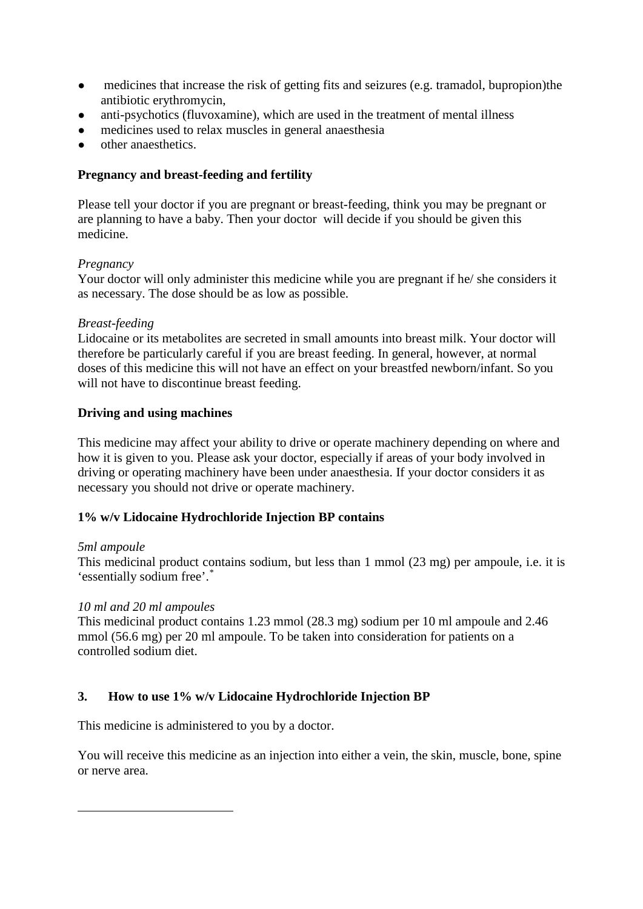- medicines that increase the risk of getting fits and seizures (e.g. tramadol, bupropion) the antibiotic erythromycin,
- anti-psychotics (fluvoxamine), which are used in the treatment of mental illness
- medicines used to relax muscles in general anaesthesia
- other anaesthetics.

# **Pregnancy and breast-feeding and fertility**

Please tell your doctor if you are pregnant or breast-feeding, think you may be pregnant or are planning to have a baby. Then your doctor will decide if you should be given this medicine.

# *Pregnancy*

Your doctor will only administer this medicine while you are pregnant if he/ she considers it as necessary. The dose should be as low as possible.

# *Breast-feeding*

Lidocaine or its metabolites are secreted in small amounts into breast milk. Your doctor will therefore be particularly careful if you are breast feeding. In general, however, at normal doses of this medicine this will not have an effect on your breastfed newborn/infant. So you will not have to discontinue breast feeding.

# **Driving and using machines**

This medicine may affect your ability to drive or operate machinery depending on where and how it is given to you. Please ask your doctor, especially if areas of your body involved in driving or operating machinery have been under anaesthesia. If your doctor considers it as necessary you should not drive or operate machinery.

# **1% w/v Lidocaine Hydrochloride Injection BP contains**

# *5ml ampoule*

<span id="page-2-0"></span>1

This medicinal product contains sodium, but less than 1 mmol (23 mg) per ampoule, i.e. it is 'essentially sodium free'.[\\*](#page-2-0)

# *10 ml and 20 ml ampoules*

This medicinal product contains 1.23 mmol (28.3 mg) sodium per 10 ml ampoule and 2.46 mmol (56.6 mg) per 20 ml ampoule. To be taken into consideration for patients on a controlled sodium diet.

# **3. How to use 1% w/v Lidocaine Hydrochloride Injection BP**

This medicine is administered to you by a doctor.

You will receive this medicine as an injection into either a vein, the skin, muscle, bone, spine or nerve area.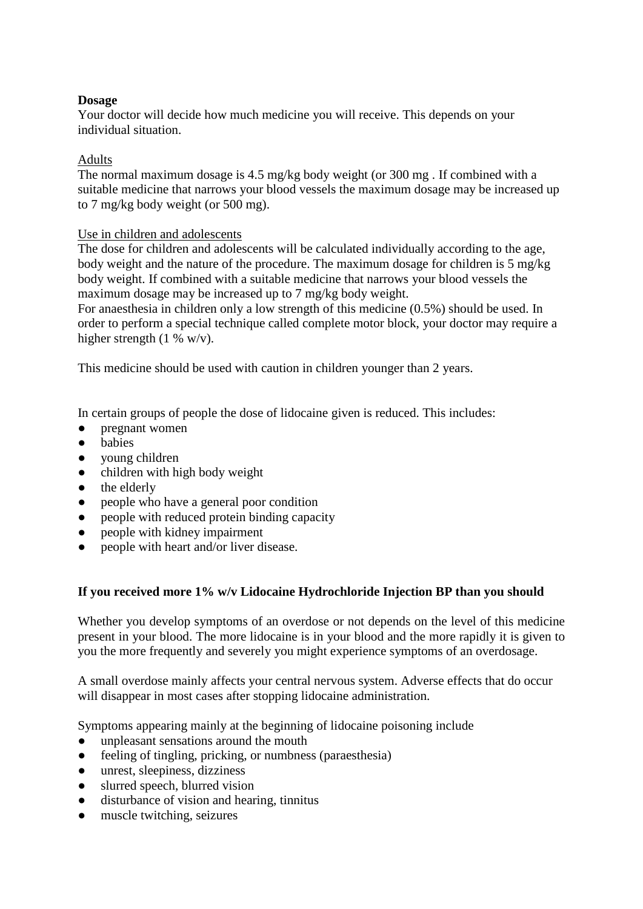# **Dosage**

Your doctor will decide how much medicine you will receive. This depends on your individual situation.

## Adults

The normal maximum dosage is 4.5 mg/kg body weight (or 300 mg . If combined with a suitable medicine that narrows your blood vessels the maximum dosage may be increased up to 7 mg/kg body weight (or 500 mg).

## Use in children and adolescents

The dose for children and adolescents will be calculated individually according to the age, body weight and the nature of the procedure. The maximum dosage for children is 5 mg/kg body weight. If combined with a suitable medicine that narrows your blood vessels the maximum dosage may be increased up to 7 mg/kg body weight.

For anaesthesia in children only a low strength of this medicine (0.5%) should be used. In order to perform a special technique called complete motor block, your doctor may require a higher strength (1 % w/v).

This medicine should be used with caution in children younger than 2 years.

In certain groups of people the dose of lidocaine given is reduced. This includes:

- *●* pregnant women
- *●* babies
- *●* young children
- children with high body weight
- the elderly
- people who have a general poor condition
- *●* people with reduced protein binding capacity
- people with kidney impairment
- people with heart and/or liver disease.

### **If you received more 1% w/v Lidocaine Hydrochloride Injection BP than you should**

Whether you develop symptoms of an overdose or not depends on the level of this medicine present in your blood. The more lidocaine is in your blood and the more rapidly it is given to you the more frequently and severely you might experience symptoms of an overdosage.

A small overdose mainly affects your central nervous system. Adverse effects that do occur will disappear in most cases after stopping lidocaine administration.

Symptoms appearing mainly at the beginning of lidocaine poisoning include

- unpleasant sensations around the mouth
- *●* feeling of tingling, pricking, or numbness (paraesthesia)
- *●* unrest, sleepiness, dizziness
- *●* slurred speech, blurred vision
- *●* disturbance of vision and hearing, tinnitus
- muscle twitching, seizures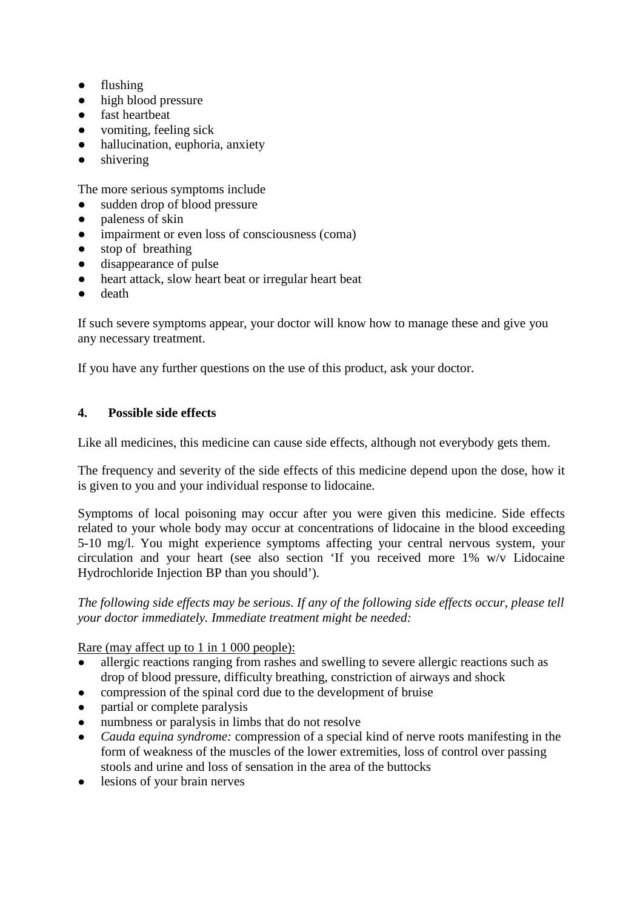- *●* flushing
- high blood pressure
- fast heartbeat
- *●* vomiting, feeling sick
- *●* hallucination, euphoria, anxiety
- *●* shivering

The more serious symptoms include

- sudden drop of blood pressure
- *●* paleness of skin
- *●* impairment or even loss of consciousness (coma)
- *●* stop of breathing
- disappearance of pulse
- heart attack, slow heart beat or irregular heart beat
- *●* death

If such severe symptoms appear, your doctor will know how to manage these and give you any necessary treatment.

If you have any further questions on the use of this product, ask your doctor.

# **4. Possible side effects**

Like all medicines, this medicine can cause side effects, although not everybody gets them.

The frequency and severity of the side effects of this medicine depend upon the dose, how it is given to you and your individual response to lidocaine.

Symptoms of local poisoning may occur after you were given this medicine. Side effects related to your whole body may occur at concentrations of lidocaine in the blood exceeding 5-10 mg/l. You might experience symptoms affecting your central nervous system, your circulation and your heart (see also section 'If you received more 1% w/v Lidocaine Hydrochloride Injection BP than you should').

*The following side effects may be serious. If any of the following side effects occur, please tell your doctor immediately. Immediate treatment might be needed:*

Rare (may affect up to 1 in 1 000 people):

- allergic reactions ranging from rashes and swelling to severe allergic reactions such as drop of blood pressure, difficulty breathing, constriction of airways and shock
- compression of the spinal cord due to the development of bruise
- partial or complete paralysis
- numbness or paralysis in limbs that do not resolve
- *Cauda equina syndrome:* compression of a special kind of nerve roots manifesting in the form of weakness of the muscles of the lower extremities, loss of control over passing stools and urine and loss of sensation in the area of the buttocks
- lesions of your brain nerves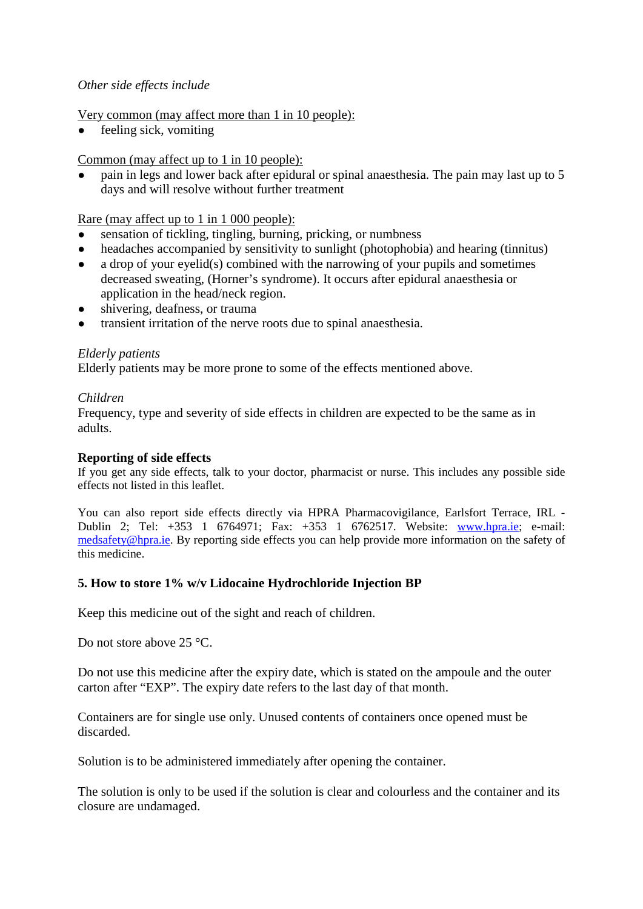## *Other side effects include*

## Very common (may affect more than 1 in 10 people):

feeling sick, vomiting

## Common (may affect up to 1 in 10 people):

pain in legs and lower back after epidural or spinal anaesthesia. The pain may last up to 5 days and will resolve without further treatment

## Rare (may affect up to 1 in 1 000 people):

- sensation of tickling, tingling, burning, pricking, or numbness
- headaches accompanied by sensitivity to sunlight (photophobia) and hearing (tinnitus)
- a drop of your eyelid(s) combined with the narrowing of your pupils and sometimes decreased sweating, (Horner's syndrome). It occurs after epidural anaesthesia or application in the head/neck region.
- shivering, deafness, or trauma
- transient irritation of the nerve roots due to spinal anaesthesia.

## *Elderly patients*

Elderly patients may be more prone to some of the effects mentioned above.

## *Children*

Frequency, type and severity of side effects in children are expected to be the same as in adults.

### **Reporting of side effects**

If you get any side effects, talk to your doctor, pharmacist or nurse. This includes any possible side effects not listed in this leaflet.

You can also report side effects directly via HPRA Pharmacovigilance, Earlsfort Terrace, IRL - Dublin 2; Tel: +353 1 6764971; Fax: +353 1 6762517. Website: [www.hpra.ie;](http://www.hpra.ie/) e-mail: [medsafety@hpra.ie.](mailto:medsafety@hpra.ie) By reporting side effects you can help provide more information on the safety of this medicine.

# **5. How to store 1% w/v Lidocaine Hydrochloride Injection BP**

Keep this medicine out of the sight and reach of children.

Do not store above 25 °C.

Do not use this medicine after the expiry date, which is stated on the ampoule and the outer carton after "EXP". The expiry date refers to the last day of that month.

Containers are for single use only. Unused contents of containers once opened must be discarded.

Solution is to be administered immediately after opening the container.

The solution is only to be used if the solution is clear and colourless and the container and its closure are undamaged.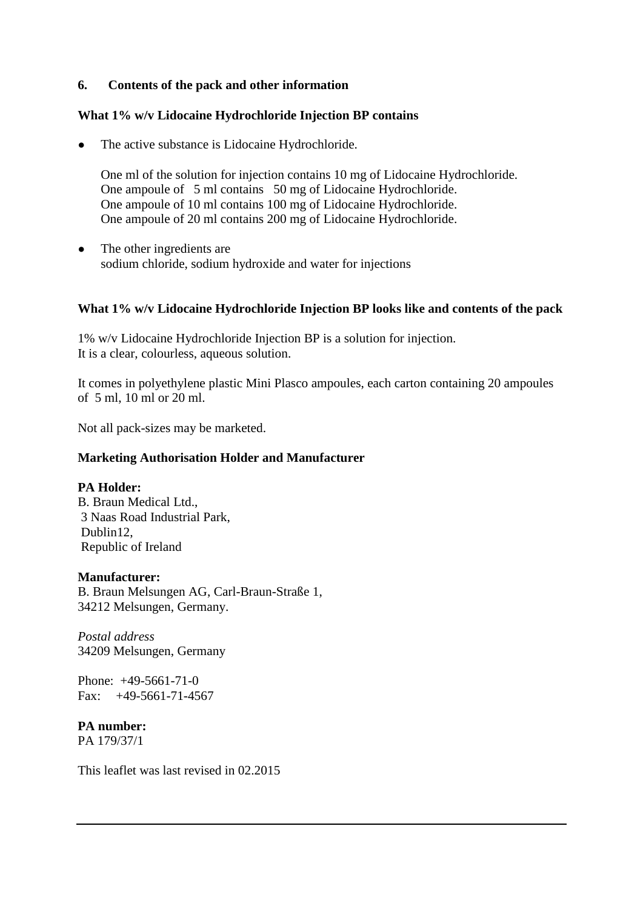## **6. Contents of the pack and other information**

### **What 1% w/v Lidocaine Hydrochloride Injection BP contains**

The active substance is Lidocaine Hydrochloride.

One ml of the solution for injection contains 10 mg of Lidocaine Hydrochloride. One ampoule of 5 ml contains 50 mg of Lidocaine Hydrochloride. One ampoule of 10 ml contains 100 mg of Lidocaine Hydrochloride. One ampoule of 20 ml contains 200 mg of Lidocaine Hydrochloride.

• The other ingredients are sodium chloride, sodium hydroxide and water for injections

## **What 1% w/v Lidocaine Hydrochloride Injection BP looks like and contents of the pack**

1% w/v Lidocaine Hydrochloride Injection BP is a solution for injection. It is a clear, colourless, aqueous solution.

It comes in polyethylene plastic Mini Plasco ampoules, each carton containing 20 ampoules of 5 ml, 10 ml or 20 ml.

Not all pack-sizes may be marketed.

### **Marketing Authorisation Holder and Manufacturer**

### **PA Holder:**

B. Braun Medical Ltd., 3 Naas Road Industrial Park, Dublin12, Republic of Ireland

### **Manufacturer:**

B. Braun Melsungen AG, Carl-Braun-Straße 1, 34212 Melsungen, Germany.

*Postal address* 34209 Melsungen, Germany

Phone: +49-5661-71-0 Fax:  $+49-5661-71-4567$ 

# **PA number:**

PA 179/37/1

This leaflet was last revised in 02.2015